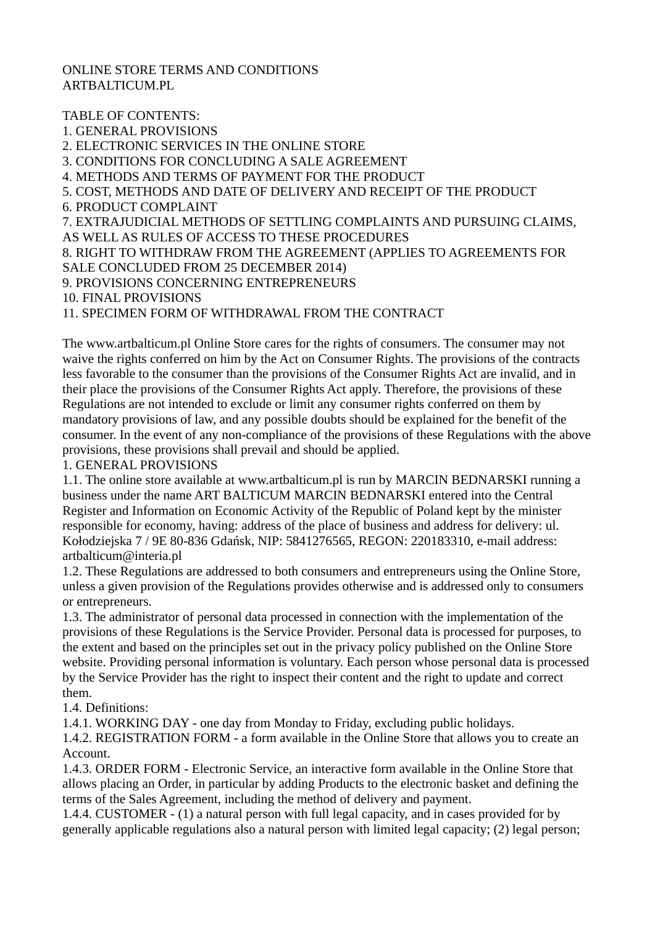## ONLINE STORE TERMS AND CONDITIONS ARTBALTICUM.PL

TABLE OF CONTENTS: 1. GENERAL PROVISIONS 2. ELECTRONIC SERVICES IN THE ONLINE STORE 3. CONDITIONS FOR CONCLUDING A SALE AGREEMENT 4. METHODS AND TERMS OF PAYMENT FOR THE PRODUCT 5. COST, METHODS AND DATE OF DELIVERY AND RECEIPT OF THE PRODUCT 6. PRODUCT COMPLAINT 7. EXTRAJUDICIAL METHODS OF SETTLING COMPLAINTS AND PURSUING CLAIMS, AS WELL AS RULES OF ACCESS TO THESE PROCEDURES 8. RIGHT TO WITHDRAW FROM THE AGREEMENT (APPLIES TO AGREEMENTS FOR SALE CONCLUDED FROM 25 DECEMBER 2014) 9. PROVISIONS CONCERNING ENTREPRENEURS 10. FINAL PROVISIONS 11. SPECIMEN FORM OF WITHDRAWAL FROM THE CONTRACT

The www.artbalticum.pl Online Store cares for the rights of consumers. The consumer may not waive the rights conferred on him by the Act on Consumer Rights. The provisions of the contracts less favorable to the consumer than the provisions of the Consumer Rights Act are invalid, and in their place the provisions of the Consumer Rights Act apply. Therefore, the provisions of these Regulations are not intended to exclude or limit any consumer rights conferred on them by mandatory provisions of law, and any possible doubts should be explained for the benefit of the consumer. In the event of any non-compliance of the provisions of these Regulations with the above provisions, these provisions shall prevail and should be applied.

## 1. GENERAL PROVISIONS

1.1. The online store available at www.artbalticum.pl is run by MARCIN BEDNARSKI running a business under the name ART BALTICUM MARCIN BEDNARSKI entered into the Central Register and Information on Economic Activity of the Republic of Poland kept by the minister responsible for economy, having: address of the place of business and address for delivery: ul. Kołodziejska 7 / 9E 80-836 Gdańsk, NIP: 5841276565, REGON: 220183310, e-mail address: artbalticum@interia.pl

1.2. These Regulations are addressed to both consumers and entrepreneurs using the Online Store, unless a given provision of the Regulations provides otherwise and is addressed only to consumers or entrepreneurs.

1.3. The administrator of personal data processed in connection with the implementation of the provisions of these Regulations is the Service Provider. Personal data is processed for purposes, to the extent and based on the principles set out in the privacy policy published on the Online Store website. Providing personal information is voluntary. Each person whose personal data is processed by the Service Provider has the right to inspect their content and the right to update and correct them.

1.4. Definitions:

1.4.1. WORKING DAY - one day from Monday to Friday, excluding public holidays.

1.4.2. REGISTRATION FORM - a form available in the Online Store that allows you to create an Account.

1.4.3. ORDER FORM - Electronic Service, an interactive form available in the Online Store that allows placing an Order, in particular by adding Products to the electronic basket and defining the terms of the Sales Agreement, including the method of delivery and payment.

1.4.4. CUSTOMER - (1) a natural person with full legal capacity, and in cases provided for by generally applicable regulations also a natural person with limited legal capacity; (2) legal person;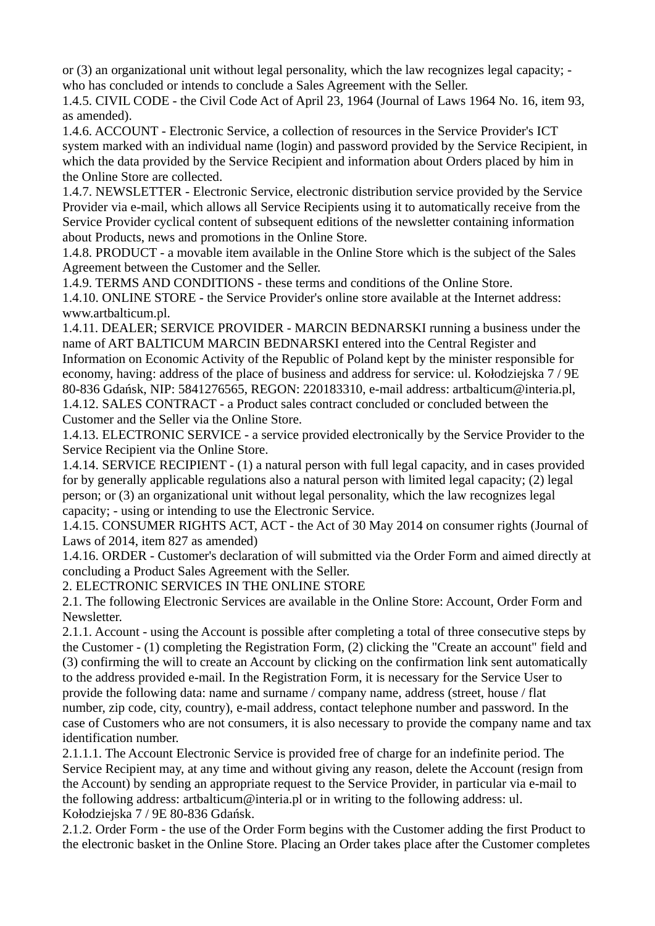or (3) an organizational unit without legal personality, which the law recognizes legal capacity; who has concluded or intends to conclude a Sales Agreement with the Seller.

1.4.5. CIVIL CODE - the Civil Code Act of April 23, 1964 (Journal of Laws 1964 No. 16, item 93, as amended).

1.4.6. ACCOUNT - Electronic Service, a collection of resources in the Service Provider's ICT system marked with an individual name (login) and password provided by the Service Recipient, in which the data provided by the Service Recipient and information about Orders placed by him in the Online Store are collected.

1.4.7. NEWSLETTER - Electronic Service, electronic distribution service provided by the Service Provider via e-mail, which allows all Service Recipients using it to automatically receive from the Service Provider cyclical content of subsequent editions of the newsletter containing information about Products, news and promotions in the Online Store.

1.4.8. PRODUCT - a movable item available in the Online Store which is the subject of the Sales Agreement between the Customer and the Seller.

1.4.9. TERMS AND CONDITIONS - these terms and conditions of the Online Store.

1.4.10. ONLINE STORE - the Service Provider's online store available at the Internet address: www.artbalticum.pl.

1.4.11. DEALER; SERVICE PROVIDER - MARCIN BEDNARSKI running a business under the name of ART BALTICUM MARCIN BEDNARSKI entered into the Central Register and Information on Economic Activity of the Republic of Poland kept by the minister responsible for economy, having: address of the place of business and address for service: ul. Kołodziejska 7 / 9E 80-836 Gdańsk, NIP: 5841276565, REGON: 220183310, e-mail address: artbalticum@interia.pl, 1.4.12. SALES CONTRACT - a Product sales contract concluded or concluded between the Customer and the Seller via the Online Store.

1.4.13. ELECTRONIC SERVICE - a service provided electronically by the Service Provider to the Service Recipient via the Online Store.

1.4.14. SERVICE RECIPIENT - (1) a natural person with full legal capacity, and in cases provided for by generally applicable regulations also a natural person with limited legal capacity; (2) legal person; or (3) an organizational unit without legal personality, which the law recognizes legal capacity; - using or intending to use the Electronic Service.

1.4.15. CONSUMER RIGHTS ACT, ACT - the Act of 30 May 2014 on consumer rights (Journal of Laws of 2014, item 827 as amended)

1.4.16. ORDER - Customer's declaration of will submitted via the Order Form and aimed directly at concluding a Product Sales Agreement with the Seller.

2. ELECTRONIC SERVICES IN THE ONLINE STORE

2.1. The following Electronic Services are available in the Online Store: Account, Order Form and Newsletter.

2.1.1. Account - using the Account is possible after completing a total of three consecutive steps by the Customer - (1) completing the Registration Form, (2) clicking the "Create an account" field and (3) confirming the will to create an Account by clicking on the confirmation link sent automatically to the address provided e-mail. In the Registration Form, it is necessary for the Service User to provide the following data: name and surname / company name, address (street, house / flat number, zip code, city, country), e-mail address, contact telephone number and password. In the case of Customers who are not consumers, it is also necessary to provide the company name and tax identification number.

2.1.1.1. The Account Electronic Service is provided free of charge for an indefinite period. The Service Recipient may, at any time and without giving any reason, delete the Account (resign from the Account) by sending an appropriate request to the Service Provider, in particular via e-mail to the following address: artbalticum@interia.pl or in writing to the following address: ul. Kołodziejska 7 / 9E 80-836 Gdańsk.

2.1.2. Order Form - the use of the Order Form begins with the Customer adding the first Product to the electronic basket in the Online Store. Placing an Order takes place after the Customer completes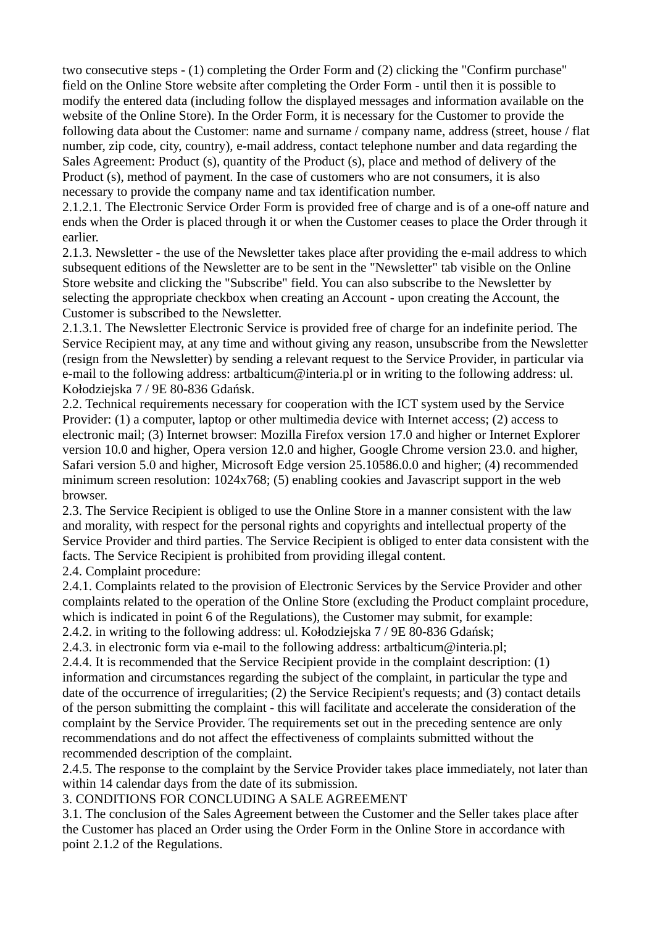two consecutive steps - (1) completing the Order Form and (2) clicking the "Confirm purchase" field on the Online Store website after completing the Order Form - until then it is possible to modify the entered data (including follow the displayed messages and information available on the website of the Online Store). In the Order Form, it is necessary for the Customer to provide the following data about the Customer: name and surname / company name, address (street, house / flat number, zip code, city, country), e-mail address, contact telephone number and data regarding the Sales Agreement: Product (s), quantity of the Product (s), place and method of delivery of the Product (s), method of payment. In the case of customers who are not consumers, it is also necessary to provide the company name and tax identification number.

2.1.2.1. The Electronic Service Order Form is provided free of charge and is of a one-off nature and ends when the Order is placed through it or when the Customer ceases to place the Order through it earlier.

2.1.3. Newsletter - the use of the Newsletter takes place after providing the e-mail address to which subsequent editions of the Newsletter are to be sent in the "Newsletter" tab visible on the Online Store website and clicking the "Subscribe" field. You can also subscribe to the Newsletter by selecting the appropriate checkbox when creating an Account - upon creating the Account, the Customer is subscribed to the Newsletter.

2.1.3.1. The Newsletter Electronic Service is provided free of charge for an indefinite period. The Service Recipient may, at any time and without giving any reason, unsubscribe from the Newsletter (resign from the Newsletter) by sending a relevant request to the Service Provider, in particular via e-mail to the following address: artbalticum $\omega$ interia.pl or in writing to the following address: ul. Kołodziejska 7 / 9E 80-836 Gdańsk.

2.2. Technical requirements necessary for cooperation with the ICT system used by the Service Provider: (1) a computer, laptop or other multimedia device with Internet access; (2) access to electronic mail; (3) Internet browser: Mozilla Firefox version 17.0 and higher or Internet Explorer version 10.0 and higher, Opera version 12.0 and higher, Google Chrome version 23.0. and higher, Safari version 5.0 and higher, Microsoft Edge version 25.10586.0.0 and higher; (4) recommended minimum screen resolution: 1024x768; (5) enabling cookies and Javascript support in the web browser.

2.3. The Service Recipient is obliged to use the Online Store in a manner consistent with the law and morality, with respect for the personal rights and copyrights and intellectual property of the Service Provider and third parties. The Service Recipient is obliged to enter data consistent with the facts. The Service Recipient is prohibited from providing illegal content.

2.4. Complaint procedure:

2.4.1. Complaints related to the provision of Electronic Services by the Service Provider and other complaints related to the operation of the Online Store (excluding the Product complaint procedure, which is indicated in point 6 of the Regulations), the Customer may submit, for example: 2.4.2. in writing to the following address: ul. Kołodziejska 7 / 9E 80-836 Gdańsk;

2.4.3. in electronic form via e-mail to the following address: artbalticum $\omega$ interia.pl;

2.4.4. It is recommended that the Service Recipient provide in the complaint description: (1) information and circumstances regarding the subject of the complaint, in particular the type and date of the occurrence of irregularities; (2) the Service Recipient's requests; and (3) contact details of the person submitting the complaint - this will facilitate and accelerate the consideration of the complaint by the Service Provider. The requirements set out in the preceding sentence are only recommendations and do not affect the effectiveness of complaints submitted without the recommended description of the complaint.

2.4.5. The response to the complaint by the Service Provider takes place immediately, not later than within 14 calendar days from the date of its submission.

3. CONDITIONS FOR CONCLUDING A SALE AGREEMENT

3.1. The conclusion of the Sales Agreement between the Customer and the Seller takes place after the Customer has placed an Order using the Order Form in the Online Store in accordance with point 2.1.2 of the Regulations.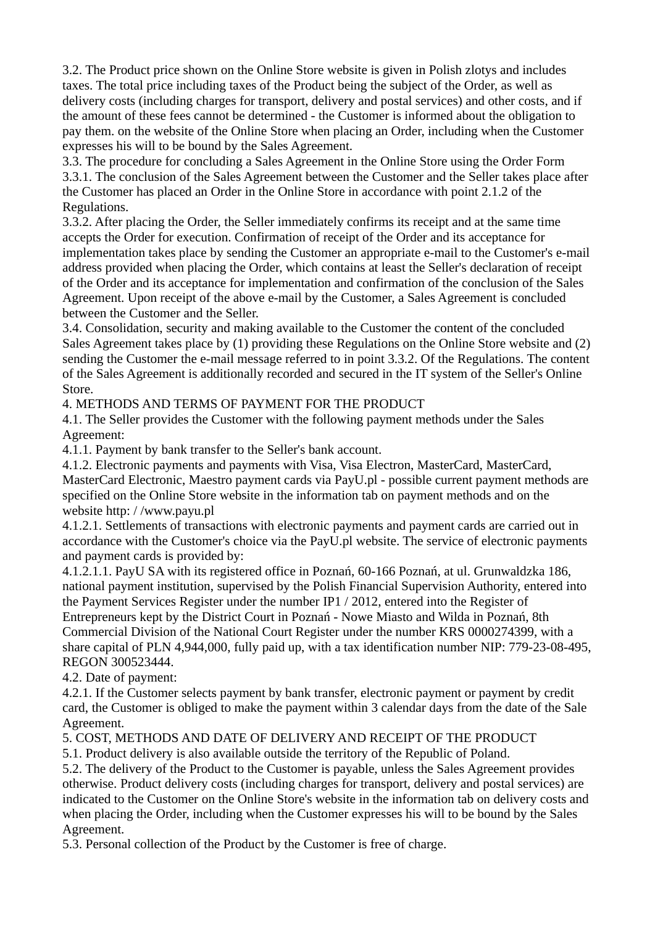3.2. The Product price shown on the Online Store website is given in Polish zlotys and includes taxes. The total price including taxes of the Product being the subject of the Order, as well as delivery costs (including charges for transport, delivery and postal services) and other costs, and if the amount of these fees cannot be determined - the Customer is informed about the obligation to pay them. on the website of the Online Store when placing an Order, including when the Customer expresses his will to be bound by the Sales Agreement.

3.3. The procedure for concluding a Sales Agreement in the Online Store using the Order Form 3.3.1. The conclusion of the Sales Agreement between the Customer and the Seller takes place after the Customer has placed an Order in the Online Store in accordance with point 2.1.2 of the Regulations.

3.3.2. After placing the Order, the Seller immediately confirms its receipt and at the same time accepts the Order for execution. Confirmation of receipt of the Order and its acceptance for implementation takes place by sending the Customer an appropriate e-mail to the Customer's e-mail address provided when placing the Order, which contains at least the Seller's declaration of receipt of the Order and its acceptance for implementation and confirmation of the conclusion of the Sales Agreement. Upon receipt of the above e-mail by the Customer, a Sales Agreement is concluded between the Customer and the Seller.

3.4. Consolidation, security and making available to the Customer the content of the concluded Sales Agreement takes place by (1) providing these Regulations on the Online Store website and (2) sending the Customer the e-mail message referred to in point 3.3.2. Of the Regulations. The content of the Sales Agreement is additionally recorded and secured in the IT system of the Seller's Online Store.

4. METHODS AND TERMS OF PAYMENT FOR THE PRODUCT

4.1. The Seller provides the Customer with the following payment methods under the Sales Agreement:

4.1.1. Payment by bank transfer to the Seller's bank account.

4.1.2. Electronic payments and payments with Visa, Visa Electron, MasterCard, MasterCard, MasterCard Electronic, Maestro payment cards via PayU.pl - possible current payment methods are specified on the Online Store website in the information tab on payment methods and on the website http: / /www.payu.pl

4.1.2.1. Settlements of transactions with electronic payments and payment cards are carried out in accordance with the Customer's choice via the PayU.pl website. The service of electronic payments and payment cards is provided by:

4.1.2.1.1. PayU SA with its registered office in Poznań, 60-166 Poznań, at ul. Grunwaldzka 186, national payment institution, supervised by the Polish Financial Supervision Authority, entered into the Payment Services Register under the number IP1 / 2012, entered into the Register of Entrepreneurs kept by the District Court in Poznań - Nowe Miasto and Wilda in Poznań, 8th Commercial Division of the National Court Register under the number KRS 0000274399, with a share capital of PLN 4,944,000, fully paid up, with a tax identification number NIP: 779-23-08-495, REGON 300523444.

4.2. Date of payment:

4.2.1. If the Customer selects payment by bank transfer, electronic payment or payment by credit card, the Customer is obliged to make the payment within 3 calendar days from the date of the Sale Agreement.

5. COST, METHODS AND DATE OF DELIVERY AND RECEIPT OF THE PRODUCT

5.1. Product delivery is also available outside the territory of the Republic of Poland.

5.2. The delivery of the Product to the Customer is payable, unless the Sales Agreement provides otherwise. Product delivery costs (including charges for transport, delivery and postal services) are indicated to the Customer on the Online Store's website in the information tab on delivery costs and when placing the Order, including when the Customer expresses his will to be bound by the Sales Agreement.

5.3. Personal collection of the Product by the Customer is free of charge.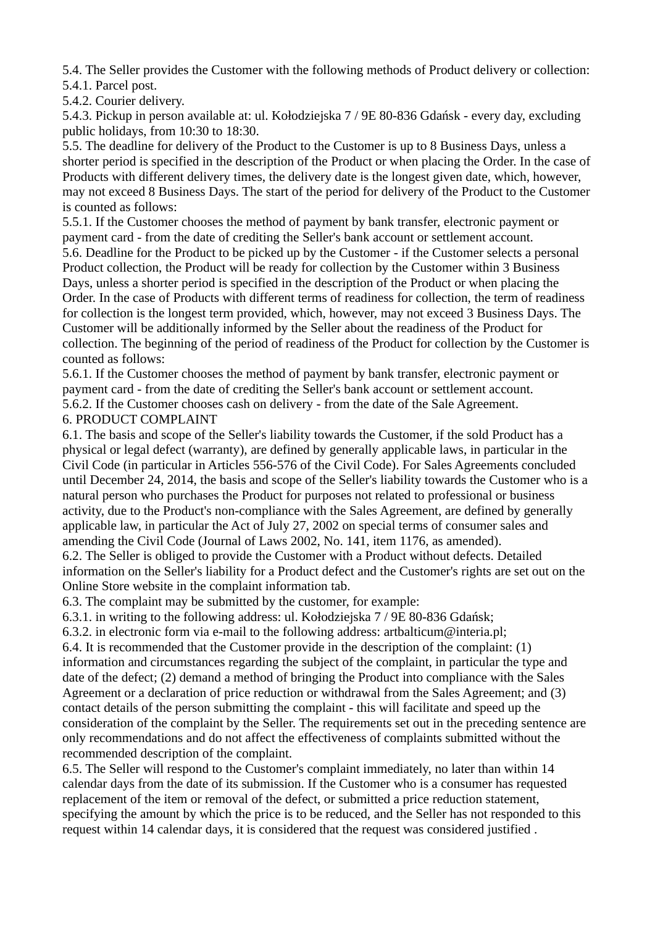5.4. The Seller provides the Customer with the following methods of Product delivery or collection: 5.4.1. Parcel post.

5.4.2. Courier delivery.

5.4.3. Pickup in person available at: ul. Kołodziejska 7 / 9E 80-836 Gdańsk - every day, excluding public holidays, from 10:30 to 18:30.

5.5. The deadline for delivery of the Product to the Customer is up to 8 Business Days, unless a shorter period is specified in the description of the Product or when placing the Order. In the case of Products with different delivery times, the delivery date is the longest given date, which, however, may not exceed 8 Business Days. The start of the period for delivery of the Product to the Customer is counted as follows:

5.5.1. If the Customer chooses the method of payment by bank transfer, electronic payment or payment card - from the date of crediting the Seller's bank account or settlement account. 5.6. Deadline for the Product to be picked up by the Customer - if the Customer selects a personal Product collection, the Product will be ready for collection by the Customer within 3 Business Days, unless a shorter period is specified in the description of the Product or when placing the Order. In the case of Products with different terms of readiness for collection, the term of readiness for collection is the longest term provided, which, however, may not exceed 3 Business Days. The Customer will be additionally informed by the Seller about the readiness of the Product for collection. The beginning of the period of readiness of the Product for collection by the Customer is counted as follows:

5.6.1. If the Customer chooses the method of payment by bank transfer, electronic payment or payment card - from the date of crediting the Seller's bank account or settlement account. 5.6.2. If the Customer chooses cash on delivery - from the date of the Sale Agreement. 6. PRODUCT COMPLAINT

6.1. The basis and scope of the Seller's liability towards the Customer, if the sold Product has a physical or legal defect (warranty), are defined by generally applicable laws, in particular in the Civil Code (in particular in Articles 556-576 of the Civil Code). For Sales Agreements concluded until December 24, 2014, the basis and scope of the Seller's liability towards the Customer who is a natural person who purchases the Product for purposes not related to professional or business activity, due to the Product's non-compliance with the Sales Agreement, are defined by generally applicable law, in particular the Act of July 27, 2002 on special terms of consumer sales and amending the Civil Code (Journal of Laws 2002, No. 141, item 1176, as amended). 6.2. The Seller is obliged to provide the Customer with a Product without defects. Detailed information on the Seller's liability for a Product defect and the Customer's rights are set out on the

Online Store website in the complaint information tab.

6.3. The complaint may be submitted by the customer, for example:

6.3.1. in writing to the following address: ul. Kołodziejska 7 / 9E 80-836 Gdańsk;

6.3.2. in electronic form via e-mail to the following address: artbalticum $\omega$ interia.pl; 6.4. It is recommended that the Customer provide in the description of the complaint: (1) information and circumstances regarding the subject of the complaint, in particular the type and date of the defect; (2) demand a method of bringing the Product into compliance with the Sales Agreement or a declaration of price reduction or withdrawal from the Sales Agreement; and (3) contact details of the person submitting the complaint - this will facilitate and speed up the consideration of the complaint by the Seller. The requirements set out in the preceding sentence are only recommendations and do not affect the effectiveness of complaints submitted without the recommended description of the complaint.

6.5. The Seller will respond to the Customer's complaint immediately, no later than within 14 calendar days from the date of its submission. If the Customer who is a consumer has requested replacement of the item or removal of the defect, or submitted a price reduction statement, specifying the amount by which the price is to be reduced, and the Seller has not responded to this request within 14 calendar days, it is considered that the request was considered justified .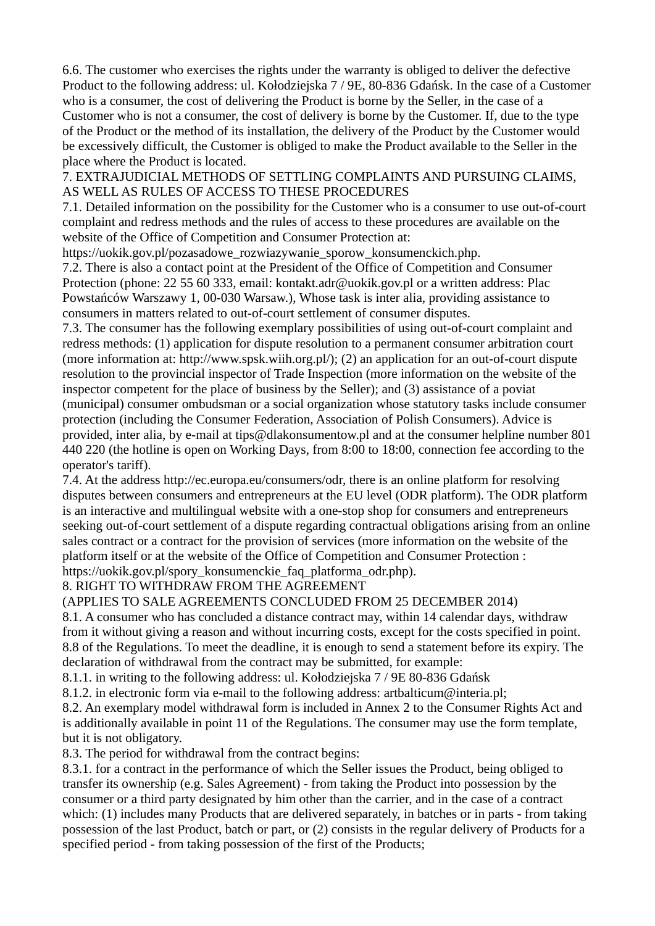6.6. The customer who exercises the rights under the warranty is obliged to deliver the defective Product to the following address: ul. Kołodziejska 7 / 9E, 80-836 Gdańsk. In the case of a Customer who is a consumer, the cost of delivering the Product is borne by the Seller, in the case of a Customer who is not a consumer, the cost of delivery is borne by the Customer. If, due to the type of the Product or the method of its installation, the delivery of the Product by the Customer would be excessively difficult, the Customer is obliged to make the Product available to the Seller in the place where the Product is located.

7. EXTRAJUDICIAL METHODS OF SETTLING COMPLAINTS AND PURSUING CLAIMS, AS WELL AS RULES OF ACCESS TO THESE PROCEDURES

7.1. Detailed information on the possibility for the Customer who is a consumer to use out-of-court complaint and redress methods and the rules of access to these procedures are available on the website of the Office of Competition and Consumer Protection at:

https://uokik.gov.pl/pozasadowe\_rozwiazywanie\_sporow\_konsumenckich.php.

7.2. There is also a contact point at the President of the Office of Competition and Consumer Protection (phone: 22 55 60 333, email: kontakt.adr@uokik.gov.pl or a written address: Plac Powstańców Warszawy 1, 00-030 Warsaw.), Whose task is inter alia, providing assistance to consumers in matters related to out-of-court settlement of consumer disputes.

7.3. The consumer has the following exemplary possibilities of using out-of-court complaint and redress methods: (1) application for dispute resolution to a permanent consumer arbitration court (more information at: http://www.spsk.wiih.org.pl/); (2) an application for an out-of-court dispute resolution to the provincial inspector of Trade Inspection (more information on the website of the inspector competent for the place of business by the Seller); and (3) assistance of a poviat (municipal) consumer ombudsman or a social organization whose statutory tasks include consumer protection (including the Consumer Federation, Association of Polish Consumers). Advice is provided, inter alia, by e-mail at tips@dlakonsumentow.pl and at the consumer helpline number 801 440 220 (the hotline is open on Working Days, from 8:00 to 18:00, connection fee according to the operator's tariff).

7.4. At the address http://ec.europa.eu/consumers/odr, there is an online platform for resolving disputes between consumers and entrepreneurs at the EU level (ODR platform). The ODR platform is an interactive and multilingual website with a one-stop shop for consumers and entrepreneurs seeking out-of-court settlement of a dispute regarding contractual obligations arising from an online sales contract or a contract for the provision of services (more information on the website of the platform itself or at the website of the Office of Competition and Consumer Protection : https://uokik.gov.pl/spory\_konsumenckie\_faq\_platforma\_odr.php).

8. RIGHT TO WITHDRAW FROM THE AGREEMENT

(APPLIES TO SALE AGREEMENTS CONCLUDED FROM 25 DECEMBER 2014)

8.1. A consumer who has concluded a distance contract may, within 14 calendar days, withdraw from it without giving a reason and without incurring costs, except for the costs specified in point. 8.8 of the Regulations. To meet the deadline, it is enough to send a statement before its expiry. The declaration of withdrawal from the contract may be submitted, for example:

8.1.1. in writing to the following address: ul. Kołodziejska 7 / 9E 80-836 Gdańsk

8.1.2. in electronic form via e-mail to the following address: artbalticum@interia.pl:

8.2. An exemplary model withdrawal form is included in Annex 2 to the Consumer Rights Act and is additionally available in point 11 of the Regulations. The consumer may use the form template, but it is not obligatory.

8.3. The period for withdrawal from the contract begins:

8.3.1. for a contract in the performance of which the Seller issues the Product, being obliged to transfer its ownership (e.g. Sales Agreement) - from taking the Product into possession by the consumer or a third party designated by him other than the carrier, and in the case of a contract which: (1) includes many Products that are delivered separately, in batches or in parts - from taking possession of the last Product, batch or part, or (2) consists in the regular delivery of Products for a specified period - from taking possession of the first of the Products;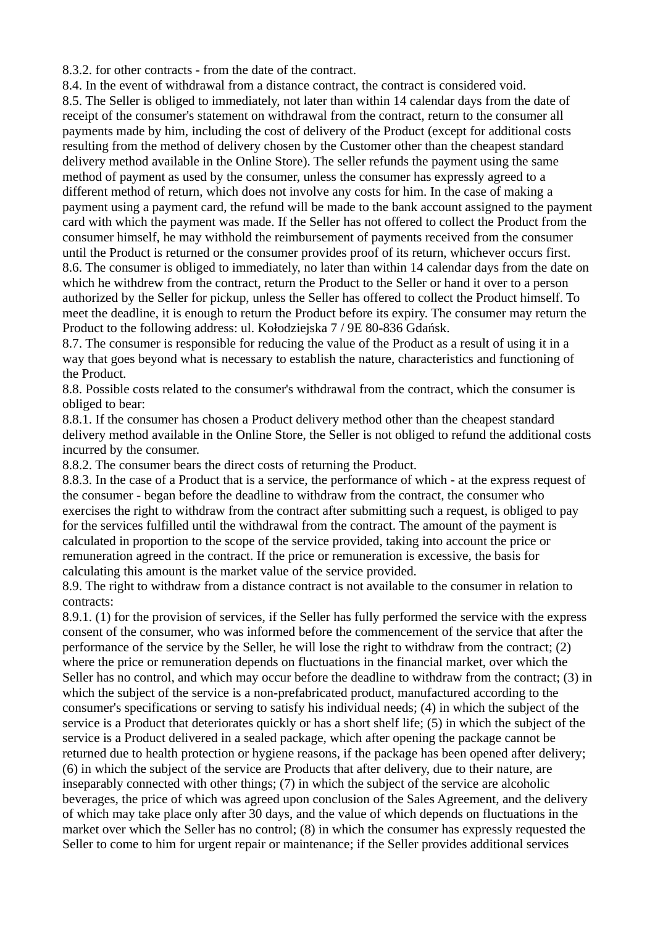8.3.2. for other contracts - from the date of the contract.

8.4. In the event of withdrawal from a distance contract, the contract is considered void.

8.5. The Seller is obliged to immediately, not later than within 14 calendar days from the date of receipt of the consumer's statement on withdrawal from the contract, return to the consumer all payments made by him, including the cost of delivery of the Product (except for additional costs resulting from the method of delivery chosen by the Customer other than the cheapest standard delivery method available in the Online Store). The seller refunds the payment using the same method of payment as used by the consumer, unless the consumer has expressly agreed to a different method of return, which does not involve any costs for him. In the case of making a payment using a payment card, the refund will be made to the bank account assigned to the payment card with which the payment was made. If the Seller has not offered to collect the Product from the consumer himself, he may withhold the reimbursement of payments received from the consumer until the Product is returned or the consumer provides proof of its return, whichever occurs first. 8.6. The consumer is obliged to immediately, no later than within 14 calendar days from the date on which he withdrew from the contract, return the Product to the Seller or hand it over to a person authorized by the Seller for pickup, unless the Seller has offered to collect the Product himself. To meet the deadline, it is enough to return the Product before its expiry. The consumer may return the Product to the following address: ul. Kołodziejska 7 / 9E 80-836 Gdańsk.

8.7. The consumer is responsible for reducing the value of the Product as a result of using it in a way that goes beyond what is necessary to establish the nature, characteristics and functioning of the Product.

8.8. Possible costs related to the consumer's withdrawal from the contract, which the consumer is obliged to bear:

8.8.1. If the consumer has chosen a Product delivery method other than the cheapest standard delivery method available in the Online Store, the Seller is not obliged to refund the additional costs incurred by the consumer.

8.8.2. The consumer bears the direct costs of returning the Product.

8.8.3. In the case of a Product that is a service, the performance of which - at the express request of the consumer - began before the deadline to withdraw from the contract, the consumer who exercises the right to withdraw from the contract after submitting such a request, is obliged to pay for the services fulfilled until the withdrawal from the contract. The amount of the payment is calculated in proportion to the scope of the service provided, taking into account the price or remuneration agreed in the contract. If the price or remuneration is excessive, the basis for calculating this amount is the market value of the service provided.

8.9. The right to withdraw from a distance contract is not available to the consumer in relation to contracts:

8.9.1. (1) for the provision of services, if the Seller has fully performed the service with the express consent of the consumer, who was informed before the commencement of the service that after the performance of the service by the Seller, he will lose the right to withdraw from the contract; (2) where the price or remuneration depends on fluctuations in the financial market, over which the Seller has no control, and which may occur before the deadline to withdraw from the contract; (3) in which the subject of the service is a non-prefabricated product, manufactured according to the consumer's specifications or serving to satisfy his individual needs; (4) in which the subject of the service is a Product that deteriorates quickly or has a short shelf life; (5) in which the subject of the service is a Product delivered in a sealed package, which after opening the package cannot be returned due to health protection or hygiene reasons, if the package has been opened after delivery; (6) in which the subject of the service are Products that after delivery, due to their nature, are inseparably connected with other things; (7) in which the subject of the service are alcoholic beverages, the price of which was agreed upon conclusion of the Sales Agreement, and the delivery of which may take place only after 30 days, and the value of which depends on fluctuations in the market over which the Seller has no control; (8) in which the consumer has expressly requested the Seller to come to him for urgent repair or maintenance; if the Seller provides additional services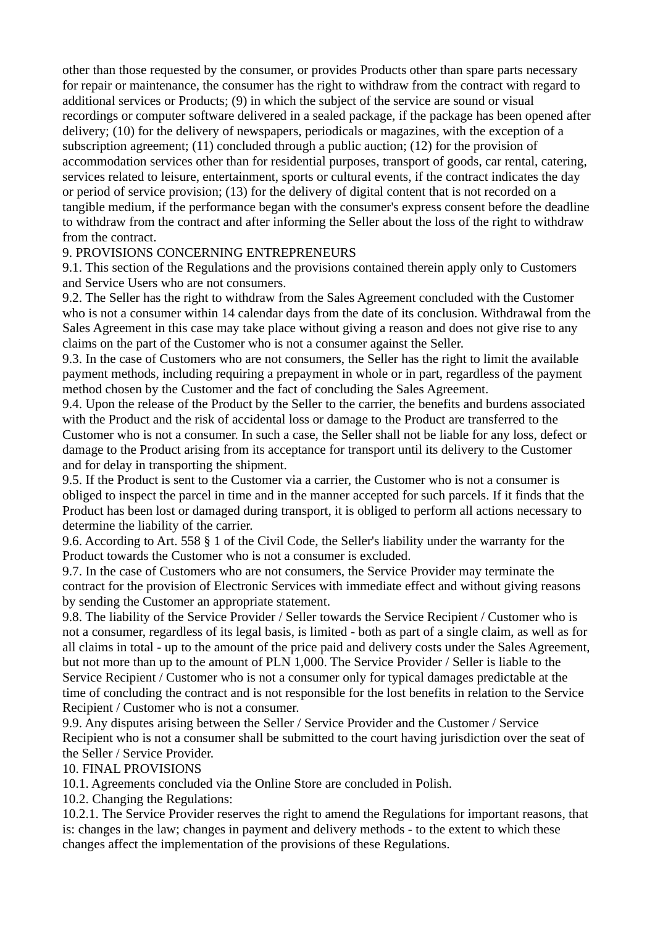other than those requested by the consumer, or provides Products other than spare parts necessary for repair or maintenance, the consumer has the right to withdraw from the contract with regard to additional services or Products; (9) in which the subject of the service are sound or visual recordings or computer software delivered in a sealed package, if the package has been opened after delivery; (10) for the delivery of newspapers, periodicals or magazines, with the exception of a subscription agreement; (11) concluded through a public auction; (12) for the provision of accommodation services other than for residential purposes, transport of goods, car rental, catering, services related to leisure, entertainment, sports or cultural events, if the contract indicates the day or period of service provision; (13) for the delivery of digital content that is not recorded on a tangible medium, if the performance began with the consumer's express consent before the deadline to withdraw from the contract and after informing the Seller about the loss of the right to withdraw from the contract.

## 9. PROVISIONS CONCERNING ENTREPRENEURS

9.1. This section of the Regulations and the provisions contained therein apply only to Customers and Service Users who are not consumers.

9.2. The Seller has the right to withdraw from the Sales Agreement concluded with the Customer who is not a consumer within 14 calendar days from the date of its conclusion. Withdrawal from the Sales Agreement in this case may take place without giving a reason and does not give rise to any claims on the part of the Customer who is not a consumer against the Seller.

9.3. In the case of Customers who are not consumers, the Seller has the right to limit the available payment methods, including requiring a prepayment in whole or in part, regardless of the payment method chosen by the Customer and the fact of concluding the Sales Agreement.

9.4. Upon the release of the Product by the Seller to the carrier, the benefits and burdens associated with the Product and the risk of accidental loss or damage to the Product are transferred to the Customer who is not a consumer. In such a case, the Seller shall not be liable for any loss, defect or damage to the Product arising from its acceptance for transport until its delivery to the Customer and for delay in transporting the shipment.

9.5. If the Product is sent to the Customer via a carrier, the Customer who is not a consumer is obliged to inspect the parcel in time and in the manner accepted for such parcels. If it finds that the Product has been lost or damaged during transport, it is obliged to perform all actions necessary to determine the liability of the carrier.

9.6. According to Art. 558 § 1 of the Civil Code, the Seller's liability under the warranty for the Product towards the Customer who is not a consumer is excluded.

9.7. In the case of Customers who are not consumers, the Service Provider may terminate the contract for the provision of Electronic Services with immediate effect and without giving reasons by sending the Customer an appropriate statement.

9.8. The liability of the Service Provider / Seller towards the Service Recipient / Customer who is not a consumer, regardless of its legal basis, is limited - both as part of a single claim, as well as for all claims in total - up to the amount of the price paid and delivery costs under the Sales Agreement, but not more than up to the amount of PLN 1,000. The Service Provider / Seller is liable to the Service Recipient / Customer who is not a consumer only for typical damages predictable at the time of concluding the contract and is not responsible for the lost benefits in relation to the Service Recipient / Customer who is not a consumer.

9.9. Any disputes arising between the Seller / Service Provider and the Customer / Service Recipient who is not a consumer shall be submitted to the court having jurisdiction over the seat of the Seller / Service Provider.

10. FINAL PROVISIONS

10.1. Agreements concluded via the Online Store are concluded in Polish.

10.2. Changing the Regulations:

10.2.1. The Service Provider reserves the right to amend the Regulations for important reasons, that is: changes in the law; changes in payment and delivery methods - to the extent to which these changes affect the implementation of the provisions of these Regulations.